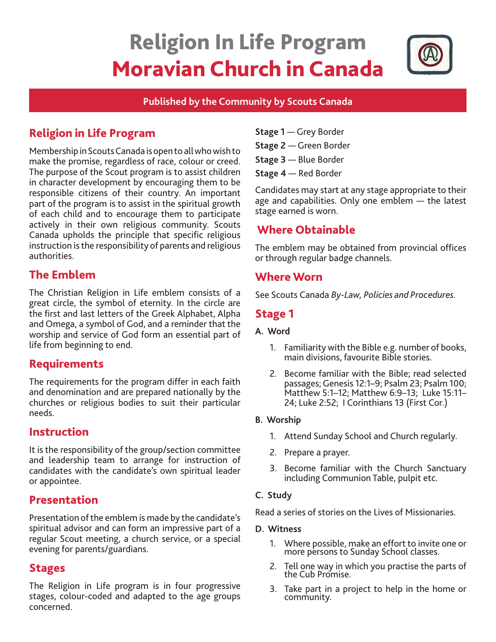# Religion In Life Program Moravian Church in Canada



#### **Published by the Community by Scouts Canada**

# Religion in Life Program

Membership in Scouts Canada is open to all who wish to make the promise, regardless of race, colour or creed. The purpose of the Scout program is to assist children in character development by encouraging them to be responsible citizens of their country. An important part of the program is to assist in the spiritual growth of each child and to encourage them to participate actively in their own religious community. Scouts Canada upholds the principle that specific religious instruction is the responsibility of parents and religious authorities.

# The Emblem

The Christian Religion in Life emblem consists of a great circle, the symbol of eternity. In the circle are the first and last letters of the Greek Alphabet, Alpha and Omega, a symbol of God, and a reminder that the worship and service of God form an essential part of life from beginning to end.

# Requirements

The requirements for the program differ in each faith and denomination and are prepared nationally by the churches or religious bodies to suit their particular needs.

#### Instruction

It is the responsibility of the group/section committee and leadership team to arrange for instruction of candidates with the candidate's own spiritual leader or appointee.

## Presentation

Presentation of the emblem is made by the candidate's spiritual advisor and can form an impressive part of a regular Scout meeting, a church service, or a special evening for parents/guardians.

## Stages

The Religion in Life program is in four progressive stages, colour-coded and adapted to the age groups concerned.

- **Stage 1**  Grey Border
- **Stage 2** Green Border
- **Stage 3**  Blue Border
- **Stage 4** Red Border

Candidates may start at any stage appropriate to their age and capabilities. Only one emblem — the latest stage earned is worn.

# Where Obtainable

The emblem may be obtained from provincial offices or through regular badge channels.

## Where Worn

See Scouts Canada *By-Law, Policies and Procedures.* 

# Stage 1

#### **A. Word**

- 1. Familiarity with the Bible e.g. number of books, main divisions, favourite Bible stories.
- 2. Become familiar with the Bible; read selected passages; Genesis 12:1–9; Psalm 23; Psalm 100; Matthew 5:1–12; Matthew 6:9–13; Luke 15:11– 24; Luke 2:52; I Corinthians 13 (First Cor.)

#### **B. Worship**

- 1. Attend Sunday School and Church regularly.
- 2. Prepare a prayer.
- 3. Become familiar with the Church Sanctuary including Communion Table, pulpit etc.

#### **C. Study**

Read a series of stories on the Lives of Missionaries.

#### **D. Witness**

- 1. Where possible, make an effort to invite one or more persons to Sunday School classes.
- 2. Tell one way in which you practise the parts of the Cub Promise.
- 3. Take part in a project to help in the home or community.